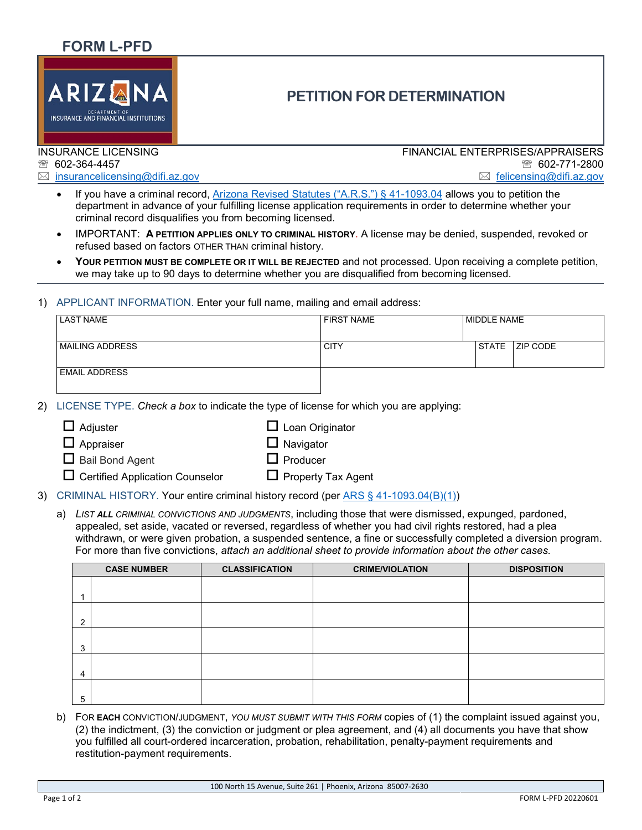## **FORM L-PFD**



# **PETITION FOR DETERMINATION**

#### INSURANCE LICENSING ● 602-364-4457

 $\boxtimes$  [insurancelicensing@difi.az.gov](mailto:insurancelicensing@difi.az.gov)

FINANCIAL ENTERPRISES/APPRAISERS 602-771-2800 ⊠ [felicensing@difi](mailto:felicensing@difi.az.gov).az.gov

- If you have a criminal record, [Arizona Revised Statutes \("A.R.S."\) § 41-1093.04](https://www.azleg.gov/legtext/53Leg/2R/laws/0193.pdf) allows you to petition the department in advance of your fulfilling license application requirements in order to determine whether your criminal record disqualifies you from becoming licensed.
- IMPORTANT: **A PETITION APPLIES ONLY TO CRIMINAL HISTORY**. A license may be denied, suspended, revoked or refused based on factors OTHER THAN criminal history.
- **YOUR PETITION MUST BE COMPLETE OR IT WILL BE REJECTED** and not processed*.* Upon receiving a complete petition, we may take up to 90 days to determine whether you are disqualified from becoming licensed.

### 1) APPLICANT INFORMATION. Enter your full name, mailing and email address:

| <b>LAST NAME</b>        | <b>FIRST NAME</b> | MIDDLE NAME                      |  |
|-------------------------|-------------------|----------------------------------|--|
|                         |                   |                                  |  |
| <b>IMAILING ADDRESS</b> | <b>CITY</b>       | <b>STATE</b><br><b>IZIP CODE</b> |  |
| <b>EMAIL ADDRESS</b>    |                   |                                  |  |

2) LICENSE TYPE. *Check a box* to indicate the type of license for which you are applying:

| $\Box$ Adjuster | $\Box$ Loan Originator |
|-----------------|------------------------|
|-----------------|------------------------|

- $\Box$  Appraiser  $\Box$  Navigator
- $\Box$  Bail Bond Agent  $\Box$  Producer
- $\Box$  Certified Application Counselor  $\Box$  Property Tax Agent
- 3) CRIMINAL HISTORY. Your entire criminal history record (per [ARS § 41-1093.04\(B\)\(1\)\)](https://www.azleg.gov/legtext/53Leg/2R/laws/0193.pdf)
	- a) *LIST ALL CRIMINAL CONVICTIONS AND JUDGMENTS*, including those that were dismissed, expunged, pardoned, appealed, set aside, vacated or reversed, regardless of whether you had civil rights restored, had a plea withdrawn, or were given probation, a suspended sentence, a fine or successfully completed a diversion program. For more than five convictions, *attach an additional sheet to provide information about the other cases.*

|   | <b>CASE NUMBER</b> | <b>CLASSIFICATION</b> | <b>CRIME/VIOLATION</b> | <b>DISPOSITION</b> |
|---|--------------------|-----------------------|------------------------|--------------------|
|   |                    |                       |                        |                    |
|   |                    |                       |                        |                    |
|   |                    |                       |                        |                    |
| റ |                    |                       |                        |                    |
|   |                    |                       |                        |                    |
| 3 |                    |                       |                        |                    |
|   |                    |                       |                        |                    |
| 4 |                    |                       |                        |                    |
|   |                    |                       |                        |                    |
| 5 |                    |                       |                        |                    |

b) FOR **EACH** CONVICTION/JUDGMENT, *YOU MUST SUBMIT WITH THIS FORM* copies of (1) the complaint issued against you, (2) the indictment, (3) the conviction or judgment or plea agreement, and (4) all documents you have that show you fulfilled all court-ordered incarceration, probation, rehabilitation, penalty-payment requirements and restitution-payment requirements.